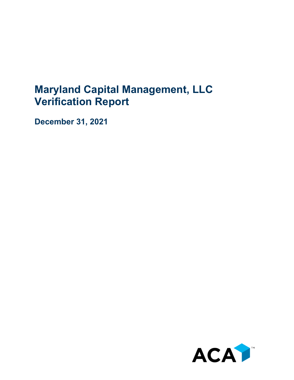## **Maryland Capital Management, LLC Verification Report**

**December 31, 2021**